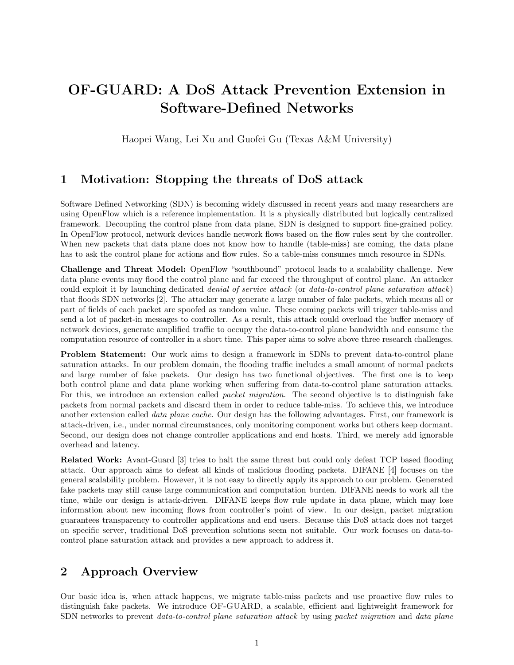## OF-GUARD: A DoS Attack Prevention Extension in Software-Defined Networks

Haopei Wang, Lei Xu and Guofei Gu (Texas A&M University)

## 1 Motivation: Stopping the threats of DoS attack

Software Defined Networking (SDN) is becoming widely discussed in recent years and many researchers are using OpenFlow which is a reference implementation. It is a physically distributed but logically centralized framework. Decoupling the control plane from data plane, SDN is designed to support fine-grained policy. In OpenFlow protocol, network devices handle network flows based on the flow rules sent by the controller. When new packets that data plane does not know how to handle (table-miss) are coming, the data plane has to ask the control plane for actions and flow rules. So a table-miss consumes much resource in SDNs.

Challenge and Threat Model: OpenFlow "southbound" protocol leads to a scalability challenge. New data plane events may flood the control plane and far exceed the throughput of control plane. An attacker could exploit it by launching dedicated *denial of service attack* (or *data-to-control plane saturation attack*) that floods SDN networks [2]. The attacker may generate a large number of fake packets, which means all or part of fields of each packet are spoofed as random value. These coming packets will trigger table-miss and send a lot of packet-in messages to controller. As a result, this attack could overload the buffer memory of network devices, generate amplified traffic to occupy the data-to-control plane bandwidth and consume the computation resource of controller in a short time. This paper aims to solve above three research challenges.

Problem Statement: Our work aims to design a framework in SDNs to prevent data-to-control plane saturation attacks. In our problem domain, the flooding traffic includes a small amount of normal packets and large number of fake packets. Our design has two functional objectives. The first one is to keep both control plane and data plane working when suffering from data-to-control plane saturation attacks. For this, we introduce an extension called *packet migration*. The second objective is to distinguish fake packets from normal packets and discard them in order to reduce table-miss. To achieve this, we introduce another extension called *data plane cache*. Our design has the following advantages. First, our framework is attack-driven, i.e., under normal circumstances, only monitoring component works but others keep dormant. Second, our design does not change controller applications and end hosts. Third, we merely add ignorable overhead and latency.

Related Work: Avant-Guard [3] tries to halt the same threat but could only defeat TCP based flooding attack. Our approach aims to defeat all kinds of malicious flooding packets. DIFANE [4] focuses on the general scalability problem. However, it is not easy to directly apply its approach to our problem. Generated fake packets may still cause large communication and computation burden. DIFANE needs to work all the time, while our design is attack-driven. DIFANE keeps flow rule update in data plane, which may lose information about new incoming flows from controller's point of view. In our design, packet migration guarantees transparency to controller applications and end users. Because this DoS attack does not target on specific server, traditional DoS prevention solutions seem not suitable. Our work focuses on data-tocontrol plane saturation attack and provides a new approach to address it.

## 2 Approach Overview

Our basic idea is, when attack happens, we migrate table-miss packets and use proactive flow rules to distinguish fake packets. We introduce OF-GUARD, a scalable, efficient and lightweight framework for SDN networks to prevent *data-to-control plane saturation attack* by using *packet migration* and *data plane*